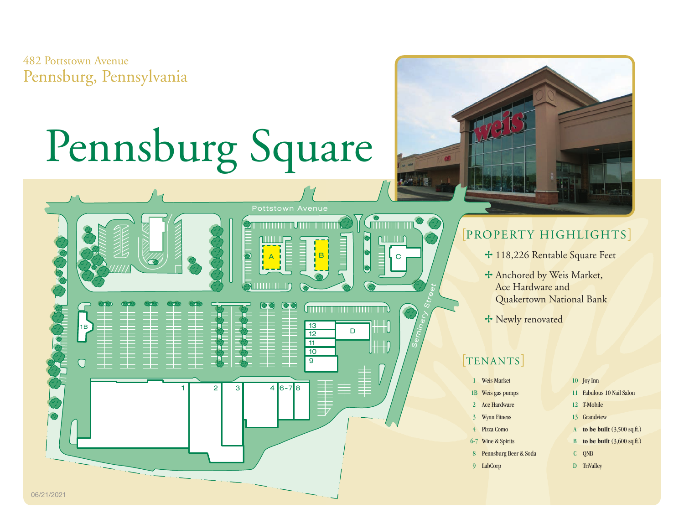482 Pottstown Avenue Pennsburg, Pennsylvania

## Pennsburg Square

Pottstown Avenue

 $\bullet$ 

<u> Timber i San Biblio</u>

 $\overline{9}$ 10 11

 $\frac{13}{12}$  D

A B C

 $2 \t3 \t4 \t6-7 \t8$ 



- + 118,226 Rentable Square Feet
- + Anchored by Weis Market, Ace Hardware and Quakertown National Bank
- + Newly renovated

## [TENANTS]

Seminary Street

<u>Gmmmm</u>

 $\parallel$ HH $\parallel$ 

וווווו

|               | <b>Weis Market</b>    |              | 10 Joy Inn                            |
|---------------|-----------------------|--------------|---------------------------------------|
| 1B            | Weis gas pumps        | 11           | <b>Fabulous 10 Nail Salon</b>         |
| $\mathcal{P}$ | Ace Hardware          | $12^{\circ}$ | <b>T-Mobile</b>                       |
| $\mathbf{3}$  | <b>Wynn Fitness</b>   | 13           | Grandview                             |
| 4             | Pizza Como            | A            | to be built $(3,500 \text{ sq.ft.})$  |
|               | 6-7 Wine & Spirits    | B            | to be built $(3,600 \text{ sq.fit.})$ |
| 8             | Pennsburg Beer & Soda | C            | <b>ONB</b>                            |
| Q             | LabCorp               | D            | <b>TriValley</b>                      |
|               |                       |              |                                       |



 $\overline{1B}$